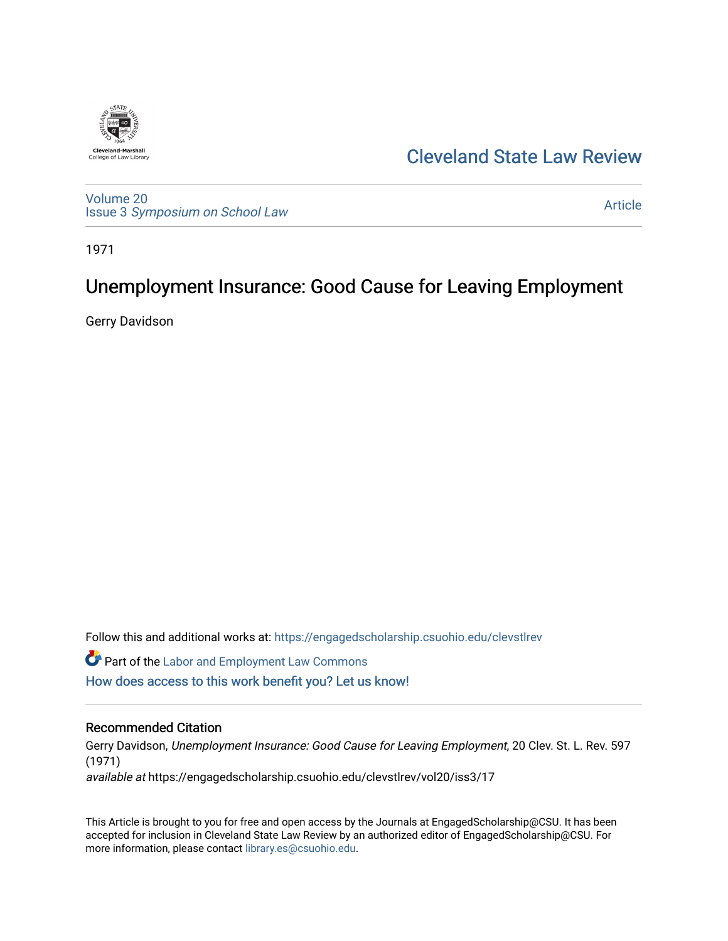

## [Cleveland State Law Review](https://engagedscholarship.csuohio.edu/clevstlrev)

[Volume 20](https://engagedscholarship.csuohio.edu/clevstlrev/vol20) Issue 3 [Symposium on School Law](https://engagedscholarship.csuohio.edu/clevstlrev/vol20/iss3) 

[Article](https://engagedscholarship.csuohio.edu/clevstlrev/vol20/iss3/17) 

1971

# Unemployment Insurance: Good Cause for Leaving Employment

Gerry Davidson

Follow this and additional works at: [https://engagedscholarship.csuohio.edu/clevstlrev](https://engagedscholarship.csuohio.edu/clevstlrev?utm_source=engagedscholarship.csuohio.edu%2Fclevstlrev%2Fvol20%2Fiss3%2F17&utm_medium=PDF&utm_campaign=PDFCoverPages)

**C** Part of the [Labor and Employment Law Commons](http://network.bepress.com/hgg/discipline/909?utm_source=engagedscholarship.csuohio.edu%2Fclevstlrev%2Fvol20%2Fiss3%2F17&utm_medium=PDF&utm_campaign=PDFCoverPages)

[How does access to this work benefit you? Let us know!](http://library.csuohio.edu/engaged/)

### Recommended Citation

Gerry Davidson, Unemployment Insurance: Good Cause for Leaving Employment, 20 Clev. St. L. Rev. 597 (1971) available at https://engagedscholarship.csuohio.edu/clevstlrev/vol20/iss3/17

This Article is brought to you for free and open access by the Journals at EngagedScholarship@CSU. It has been accepted for inclusion in Cleveland State Law Review by an authorized editor of EngagedScholarship@CSU. For more information, please contact [library.es@csuohio.edu](mailto:library.es@csuohio.edu).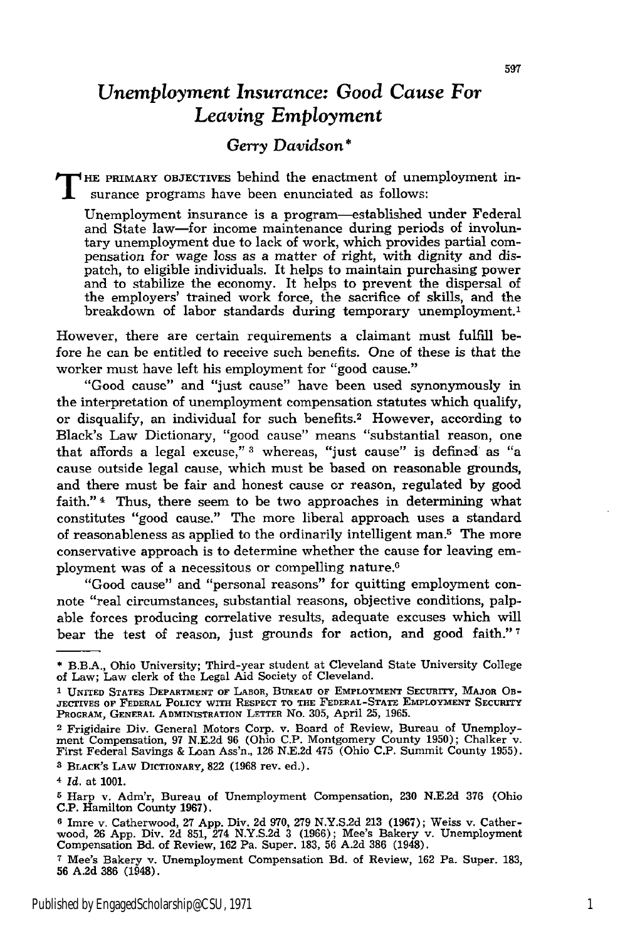### *Unemployment Insurance: Good Cause For Leaving Employment*

#### *Gerry Davidson \**

**T HE** PRIMARY OBJECTIVES behind the enactment of unemployment insurance programs have been enunciated as follows:

Unemployment insurance is a program-established under Federal and State law-for income maintenance during periods of involuntary unemployment due to lack of work, which provides partial compensation *for* wage loss as a matter of right, with dignity and dispatch, to eligible individuals. It helps to maintain purchasing power and to stabilize the economy. It helps to prevent the dispersal of the employers' trained work force, the sacrifice of skills, and the breakdown of labor standards during temporary unemployment.<sup>1</sup>

However, there are certain requirements a claimant must fulfill before he can be entitled to receive such benefits. One of these is that the worker must have left his employment for "good cause."

"Good cause" and "just cause" have been used synonymously in the interpretation of unemployment compensation statutes which qualify, or disqualify, an individual for such benefits.2 However, according to Black's Law Dictionary, "good cause" means "substantial reason, one that affords a legal excuse," **3** whereas, "just cause" is defined as "a cause outside legal cause, which must be based on reasonable grounds, and there must be fair and honest cause or reason, regulated by good faith." 4 Thus, there seem to be two approaches in determining what constitutes "good cause." The more liberal approach uses a standard of reasonableness as applied to the ordinarily intelligent man.5 The more conservative approach is to determine whether the cause for leaving employment was of a necessitous or compelling nature.<sup>6</sup>

"Good cause" and "personal reasons" for quitting employment connote "real circumstances, substantial reasons, objective conditions, palpable forces producing correlative results, adequate excuses which will bear the test of reason, just grounds for action, and good faith." **<sup>7</sup>**

<sup>\*</sup> B.B.A., Ohio University; Third-year student at Cleveland State University College of Law; Law clerk of the Legal Aid Society of Cleveland.

<sup>&</sup>lt;sup>1</sup> UNITED STATES DEPARTMENT OF LABOR, BUREAU OF EMPLOYMENT SECURITY, MAJOR OB-<br>jectives of Federal Policy with Respect to the Federal-State Employment Security<br>Program, General Administration Letter No. 305, April 25, 196

**<sup>2</sup>** Frigidaire Div. General Motors Corp. v. Board of Review, Bureau of Unemployment Compensation, **97 N.E.2d 96** (Ohio **C.P.** Montgomery County **1950);** Chalker v. First Federal Savings & Loan Ass'n., **126 N.E.2d** 475 (Ohio **C.P.** Summit County **1955). 3 BLACx's LAW DICTIONARY, 822** (1968 rev. ed.).

*<sup>4</sup> Id.* at **1001.**

**<sup>5</sup>**Harp **v.** Adm'r, Bureau of Unemployment Compensation, **230 N.E.2d 376** (Ohio **C.P.** Hamilton County **1967).**

**<sup>6</sup>** Imre v. Catherwood, **27 App.** Div. **2d 970, 279 N.Y.S.2d 213 (1967);** Weiss v. Catherwood, **26 App.** Div. 2d **851,** 274 **N.Y.S.2d 3 (1966);** Mee's Bakery v. Unemployment Compensation Bd. of Review, **162** Pa. Super. **183, 56 A.2d 386** (1948).

**<sup>7</sup>**Mee's Bakery v. Unemployment Compensation Bd. of Review, **162** Pa. Super. **183, 56 A.2d 386** (1948).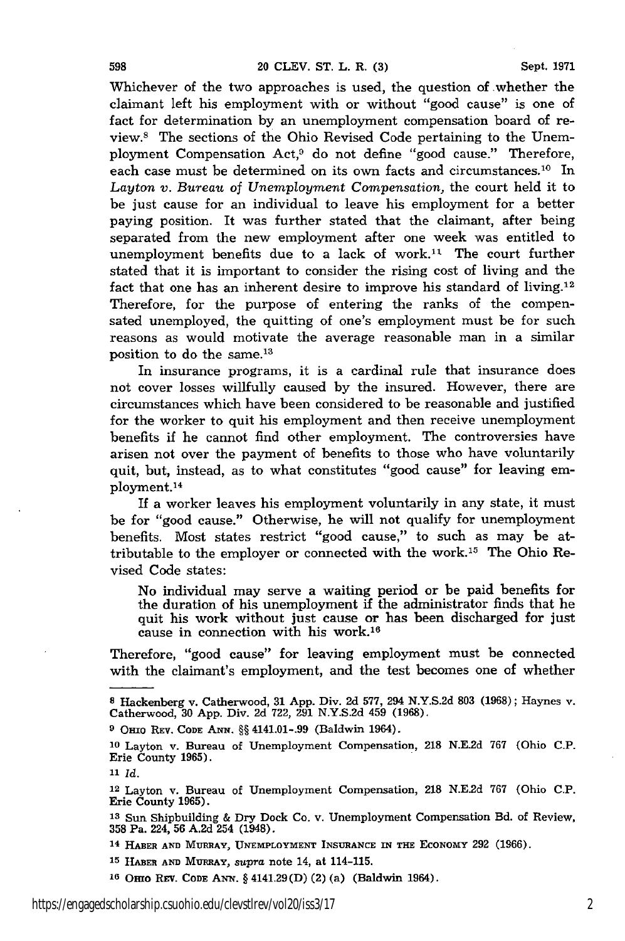Whichever of the two approaches is used, the question of whether the claimant left his employment with or without "good cause" is one **of** fact for determination **by** an unemployment compensation board of review.8 The sections of the Ohio Revised Code pertaining to the Unemployment Compensation Act,9 do not define "good cause." Therefore, each case must be determined on its own facts and circumstances.<sup>10</sup> In *Layton v. Bureau* of *Unemployment Compensation,* the court held it to be just cause for an individual to leave his employment for a better paying position. It was further stated that the claimant, after being separated from the new employment after one week was entitled to unemployment benefits due to a lack of work.<sup>11</sup> The court further stated that it is important to consider the rising cost of living and the fact that one has an inherent desire to improve his standard of living.<sup>12</sup> Therefore, for the purpose of entering the ranks of the compensated unemployed, the quitting of one's employment must be for such reasons as would motivate the average reasonable man in a similar position to do the same.<sup>13</sup>

In insurance programs, it is a cardinal rule that insurance does not cover losses willfully caused by the insured. However, there are circumstances which have been considered to be reasonable and justified for the worker to quit his employment and then receive unemployment benefits if he cannot find other employment. The controversies have arisen not over the payment of benefits to those who have voluntarily quit, but, instead, as to what constitutes "good cause" for leaving employment. <sup>14</sup>

If a worker leaves his employment voluntarily in any state, it must be for "good cause." Otherwise, he will not qualify for unemployment benefits. Most states restrict "good cause," to such as may be attributable to the employer or connected with the work.<sup>15</sup> The Ohio Revised Code states:

No individual may serve a waiting period or be paid benefits for the duration of his unemployment if the administrator finds that he quit his work without just cause or has been discharged for just cause in connection with his work.16

Therefore, "good cause" for leaving employment must be connected with the claimant's employment, and the test becomes one of whether

**<sup>8</sup>** Hackenberg v. Catherwood, 31 App. Div. 2d **577,** 294 N.Y.S.2d **803** (1968); Haynes v. Catherwood, 30 App. Div. 2d 722, 291 N.Y.S.2d 459 (1968).

**<sup>9</sup>** OHio REv. **CODE ANN.** §§ 4141.01-.99 (Baldwin 1964).

**<sup>10</sup>** Layton v. Bureau of Unemployment Compensation, **218** N.E.2d 767 (Ohio C.P. Erie County 1965).

**<sup>11</sup>** *Id.*

<sup>12</sup> Layton v. Bureau of Unemployment Compensation, **218** N.E2d 767 (Ohio C.P. Erie County 1965).

**<sup>13</sup>**Sun Shipbuilding & Dry Dock Co. v. Unemployment Compensation Bd. of Review, **358** Pa. 224, **56** A.2d 254 (1948).

**<sup>14</sup> HABER AND MURRAY, UNEMPLOYMENT INSURANCE IN THE ECONOMY 292 (1966).**

**<sup>15</sup> HABER AND MURRAY,** *supra* note 14, at 114-115.

**<sup>16</sup>**Onto REV. **CODE** ANN. § 4141.29(D) (2) (a) (Baldwin 1964).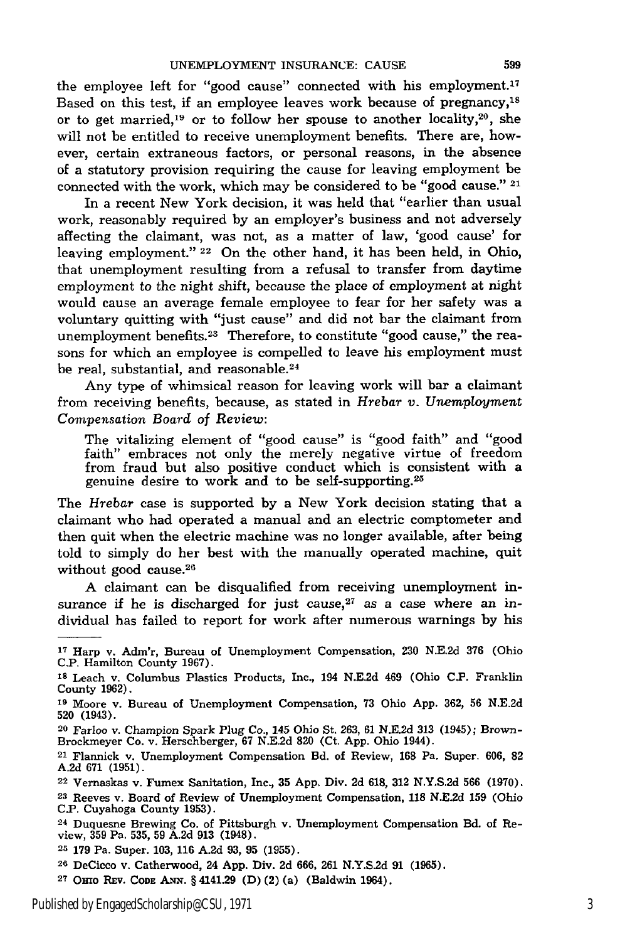the employee left for "good cause" connected with his employment.17 Based on this test, if an employee leaves work because of pregnancy,<sup>18</sup> or to get married,<sup>19</sup> or to follow her spouse to another locality,<sup>20</sup>, she will not be entitled to receive unemployment benefits. There are, however, certain extraneous factors, or personal reasons, in the absence of a statutory provision requiring the cause for leaving employment be connected with the work, which may be considered to be "good cause." 21

In a recent New York decision, it was held that "earlier than usual work, reasonably required by an employer's business and not adversely affecting the claimant, was not, as a matter of law, 'good cause' for leaving employment." 22 On the other hand, it has been held, in Ohio, that unemployment resulting from a refusal to transfer from daytime employment to the night shift, because the place of employment at night would cause an average female employee to fear for her safety was a voluntary quitting with "just cause" and did not bar the claimant from unemployment benefits.<sup>23</sup> Therefore, to constitute "good cause," the reasons for which an employee is compelled to leave his employment must be real, substantial, and reasonable.<sup>24</sup>

Any type of whimsical reason for leaving work will bar a claimant from receiving benefits, because, as stated in *Hrebar v. Unemployment Compensation Board of Review:*

The vitalizing element of "good cause" is "good faith" and "good faith" embraces not only the merely negative virtue of freedom from fraud but also positive conduct which is consistent with a genuine desire to work and to be self-supporting. <sup>25</sup>

The *Hrebar* case is supported by a New York decision stating that a claimant who had operated a manual and an electric comptometer and then quit when the electric machine was no longer available, after being told to simply do her best with the manually operated machine, quit without good cause.28

**A** claimant can be disqualified from receiving unemployment insurance if he is discharged for just cause, $27$  as a case where an individual has failed to report for work after numerous warnings by his

**<sup>17</sup>**Harp v. Adm'r, Bureau of Unemployment Compensation, **230 N.E.2d 376** (Ohio **C.P.** Hamilton County **1967).**

**<sup>18</sup>**Leach v. Columbus Plastics Products, Inc., 194 **N.E.2d** 469 (Ohio **C.P.** Franklin County **1962).**

**<sup>19</sup>**Moore v. Bureau of Unemployment Compensation, **73** Ohio **App. 362, 56 N.E.2d 520** (1943).

**<sup>20</sup>** Farloo v. Champion Spark Plug **Co.,** 145 Ohio St. **263, 61 N.E.2d 313** (1945); Brown-Brockmeyer Co. v. Herschberger, **67 N.E.2d 820** (Ct. **App.** Ohio 1944).

<sup>21</sup> Flannick v. Unemployment Compensation **Bd.** of Review, **168** Pa. Super. **606, 82 A.2d 671 (1951).**

**<sup>22</sup>** Vernaskas v. Fumex Sanitation, Inc., **35 App,** Div. **2d 618, 312 N.Y.S.2d 566 (1970).**

**<sup>23</sup>**Reeves v. Board of Review of Unemployment Compensation, **118 N.E.2d 159** (Ohio **C.P.** Cuyahoga County **1953).**

**<sup>24</sup>** Duquesne Brewing Co. of Pittsburgh v. Unemployment Compensation Bd. of Review, **359** Pa. **535, 59 A.2d 913** (1948).

**<sup>25 179</sup>** Pa. Super. **103, 116 A.2d 93, 95 (1955).**

**<sup>26</sup>** DeCicco v. Catherwood, 24 **App.** Div. **2d 666, 261 N.Y.S.2d 91 (1965).**

**<sup>2</sup>T** OHio **REV. CODE AmN. §** 4141.29 **(D)** (2) (a) (Baldwin 1964).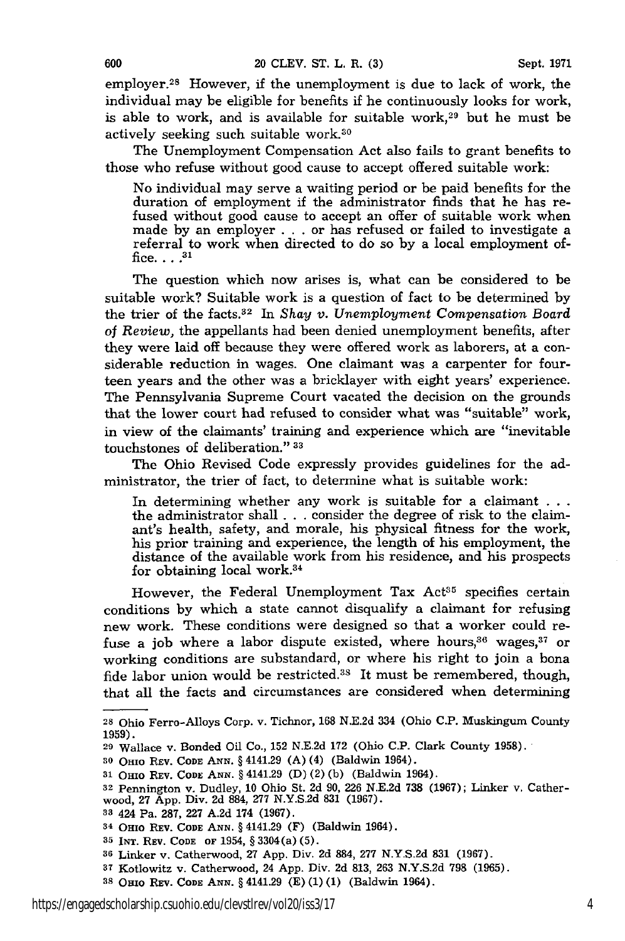employer.28 However, if the unemployment is due to lack of work, the individual may be eligible for benefits if he continuously looks for work, is able to work, and is available for suitable work,<sup>29</sup> but he must be actively seeking such suitable work.<sup>30</sup>

The Unemployment Compensation Act also fails to grant benefits to those who refuse without good cause to accept offered suitable work:

No individual may serve a waiting period or be paid benefits for the duration of employment if the administrator finds that he has refused without good cause to accept an offer of suitable work when made by an employer . . . or has refused or failed to investigate a referral to work when directed to do so by a local employment office... **31**

The question which now arises is, what can be considered to be suitable work? Suitable work is a question of fact to be determined by the trier of the facts.<sup>32</sup> In *Shay v. Unemployment Compensation Board* of *Review,* the appellants had been denied unemployment benefits, after they were laid off because they were offered work as laborers, at a considerable reduction in wages. One claimant was a carpenter for fourteen years and the other was a bricklayer with eight years' experience. The Pennsylvania Supreme Court vacated the decision on the grounds that the lower court had refused to consider what was "suitable" work, in view of the claimants' training and experience which are "inevitable touchstones of deliberation." **33**

The Ohio Revised Code expressly provides guidelines for the administrator, the trier of fact, to determine what is suitable work:

In determining whether any work is suitable for a claimant **. . .** the administrator shall . . . consider the degree of risk to the claimant's health, safety, and morale, his physical fitness for the work, his prior training and experience, the length of his employment, the distance of the available work from his residence, and his prospects for obtaining local work.<sup>34</sup>

However, the Federal Unemployment Tax Act<sup>35</sup> specifies certain conditions by which a state cannot disqualify a claimant for refusing new work. These conditions were designed so that a worker could refuse a job where a labor dispute existed, where hours,<sup>36</sup> wages,<sup>37</sup> or working conditions are substandard, or where his right to join a bona fide labor union would be restricted.<sup>38</sup> It must be remembered, though, that all the facts and circumstances are considered when determining

- **<sup>33</sup>**424 Pa. 287, 227 A.2d 174 (1967).
- 34 **OHio REV. CODE ANN.** § 4141.29 (F) (Baldwin 1964).
- **35** INT. REV. **CODE** OF 1954, § 3304(a) (5).
- **<sup>36</sup>**Linker v. Catherwood, 27 App. Div. 2d **884, 277** N.Y.S.2d **831** (1967).
- **<sup>37</sup>**Kotlowitz v. Catherwood, 24 App. Div. 2d 813, 263 N.Y.S.2d 798 (1965).
- **<sup>38</sup>**Omio REV. **CODE ANN.** § 4141.29 (E) (1) (1) (Baldwin 1964).

**<sup>28</sup>**Ohio Ferro-Alloys Corp. v. Tichnor, 168 N.E.2d 334 (Ohio **C.P.** Muskingum County **1959).**

**<sup>29</sup>**Wallace v. Bonded Oil Co., 152 N.E.2d 172 (Ohio C.P. Clark County 1958).

**<sup>30</sup>**OHio **REV. CODE** ANN. § 4141.29 (A) (4) (Baldwin 1964).

**<sup>31</sup> OHIo** REV. **CODE ANN.** § 4141.29 (D) (2) (b) (Baldwin 1964).

**<sup>32</sup>** Pennington v. Dudley, 10 Ohio St. **2d** 90, **226** N.E.2d 738 (1967); Linker **v.** Catherwood, 27 **App.** Div. 2d 884, 277 N.Y.S.2d 831 (1967).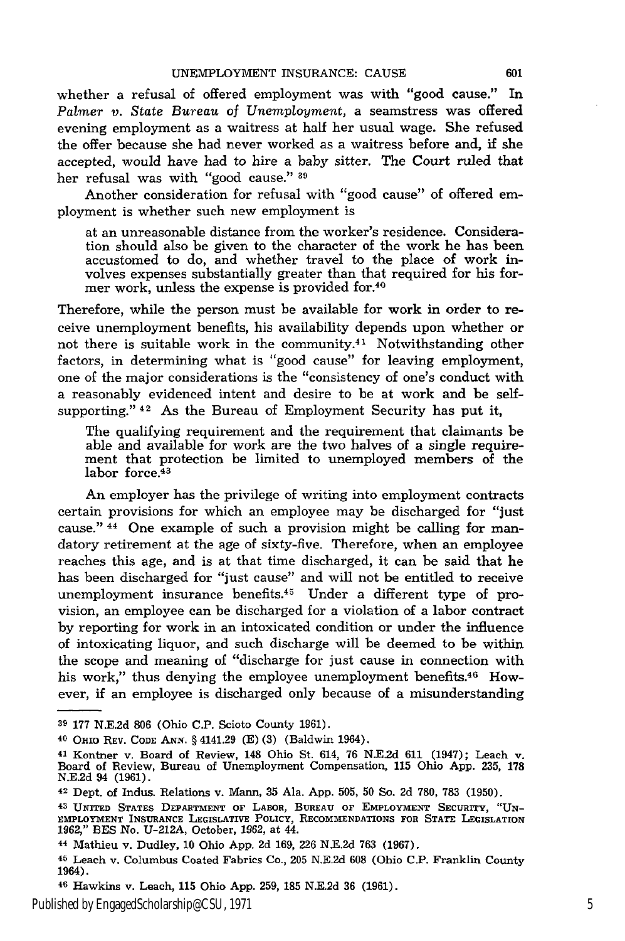whether a refusal of offered employment was with "good cause." In *Palmer v. State Bureau of Unemployment,* a seamstress was offered evening employment as a waitress at half her usual wage. She refused the offer because she had never worked as a waitress before and, if she accepted, would have had to hire a baby sitter. The Court ruled that her refusal was with "good cause." **39**

Another consideration for refusal with "good cause" of offered employment is whether such new employment is

at an unreasonable distance from the worker's residence. Consideration should also be given to the character of the work he has been accustomed to do, and whether travel to the place of work involves expenses substantially greater than that required for his former work, unless the expense is provided for.40

Therefore, while the person must be available for work in order to receive unemployment benefits, his availability depends upon whether or not there is suitable work in the community. $4<sup>1</sup>$  Notwithstanding other factors, in determining what is "good cause" for leaving employment, one of the major considerations is the "consistency of one's conduct with a reasonably evidenced intent and desire to be at work and be selfsupporting." 42 As the Bureau of Employment Security has put it,

The qualifying requirement and the requirement that claimants be able and available for work are the two halves of a single requirement that protection be limited to unemployed members of the labor force.<sup>43</sup>

An employer has the privilege of writing into employment contracts certain provisions for which an employee may be discharged for "just cause." 44 One example of such a provision might be calling for mandatory retirement at the age of sixty-five. Therefore, when an employee reaches this age, and is at that time discharged, it can be said that he has been discharged for "just cause" and will not be entitled to receive unemployment insurance benefits. $45$  Under a different type of provision, an employee can be discharged for a violation of a labor contract by reporting for work in an intoxicated condition or under the influence of intoxicating liquor, and such discharge will be deemed to be within the scope and meaning of "discharge for just cause in connection with his work," thus denying the employee unemployment benefits.<sup>46</sup> However, if an employee is discharged only because of a misunderstanding

**<sup>39 177</sup>** N.E.2d **806** (Ohio C.P. Scioto County **1961).**

<sup>40</sup>**OHIO REV. CODE ANN.** § 4141.29 **(E) (3)** (Baldwin 1964).

**<sup>41</sup>**Kontner v. Board of Review, 148 Ohio St. 614, 76 N.E.2d 611 (1947); Leach v. Board of Review, Bureau of Unemployment Compensation, **115** Ohio App. **235, 178** N.E.2d 94 (1961).

<sup>42</sup> Dept. of Indus. Relations v. Mann, **35** Ala. App. 505, **50** So. 2d 780, **783** (1950).

**<sup>43</sup> UNITED** STATES DEPARTMENT **OF** LABOR, **BUREAU OF EMPLOYMENT SECURITY, "UN-**EMPLOYMENT **INSURANCE LEGISLATIVE POLICY,** RECOMMENDATIONS **FOR STATE** LEGISLATION 1962," BES No. U-212A, October, 1962, at 44.

<sup>44</sup> Mathieu v. Dudley, 10 Ohio App. 2d **169,** 226 N.E.2d 763 (1967).

**<sup>45</sup>**Leach v. Columbus Coated Fabrics Co., 205 N.E.2d **608** (Ohio C.P. Franklin County 1964).

<sup>46</sup> Hawkins v. Leach, **115** Ohio App. 259, **185** N.E.2d 36 (1961).